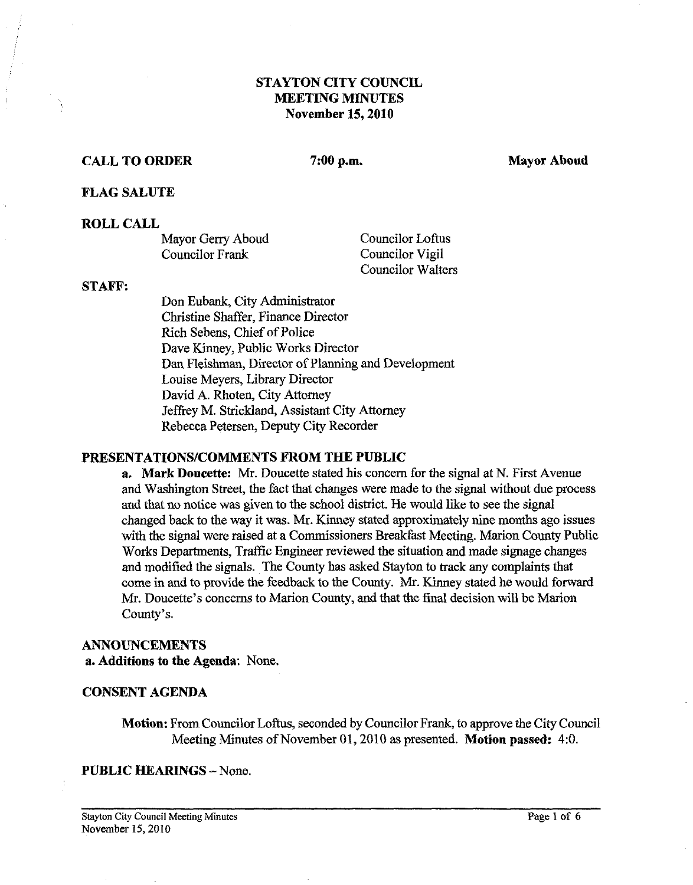# **STAYTON CITY COUNCIL MEETING MINUTES November 15,2010**

# **CALL TO ORDER** 7:00 p.m. Mayor Aboud **Mayor Aboud**

#### **FLAG SALUTE**

#### **ROLL CALL**

| Mayor Gerry Aboud | <b>Councilor Loftus</b>  |
|-------------------|--------------------------|
| Councilor Frank   | Councilor Vigil          |
|                   | <b>Councilor Walters</b> |

#### **STAFF:**

Don Eubank, City Administrator Christine Shaffer, Finance Director Rich Sebens, Chief of Police Dave Kinney, Public Works Director Dan Fleishman, Director of Planning and Development Louise Meyers, Library Director David A. Rhoten, City Attorney Jeffrey M. Strickland, Assistant City Attorney Rebecca Petersen, Deputy City Recorder

## **PRESENTATIONSICOMMENTS FROM THE PUBLIC**

**a. Mark Doucette: Mr.** Doucette stated his concern for the signal at N. First Avenue and Washington Street, the fact that changes were made to the signal without due process and that no notice was given to the school district. He would like to see the signal changed back to the way it was. Mr. Kinney stated approximately nine months ago issues with the signal were raised at a Commissioners Breakfast Meeting. Marion County Public Works Departments, Traffic Engineer reviewed the situation and made signage changes and modified the signals. The County has asked Stayton to track any complaints that come in and to provide the feedback to the County. Mr. Kinney stated he would forward Mr. Doucette's concerns to Marion County, and that the final decision will be Marion County's.

# **ANNOUNCEMENTS**

**a. Additions to the Agenda:** None.

#### **CONSENT AGENDA**

**Motion:** From Councilor Loftus, seconded by Councilor Frank, to approve the City Council Meeting Minutes of November 01,2010 as presented. **Motion passed: 4:O.** 

**PUBLIC HEARINGS -- None.**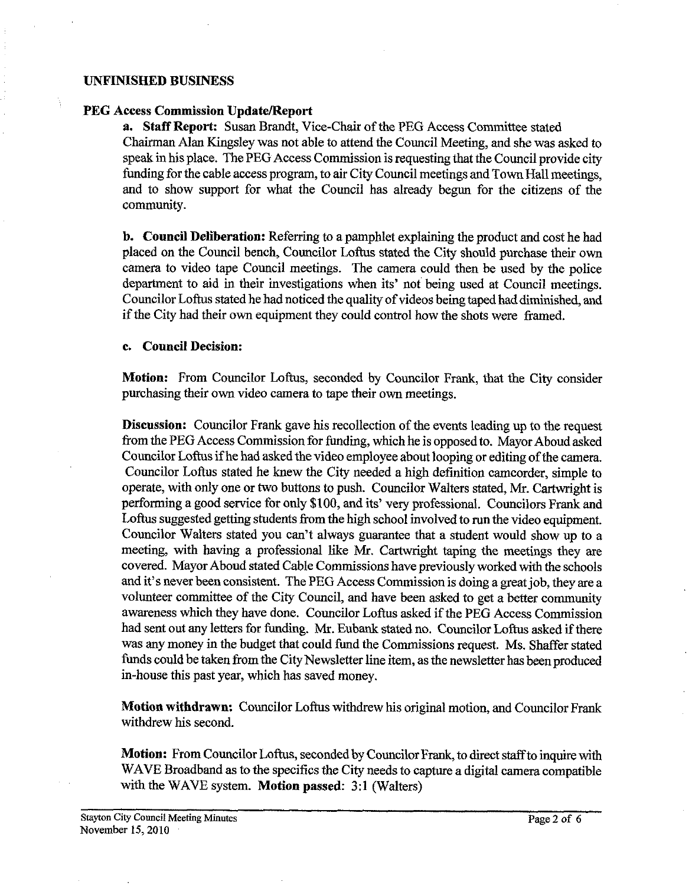#### **UNFINISHED BUSINESS**

#### **PEG Access Commission Update/Report**

**a. Staff Report:** Susan Brandt, Vice-Chair of the PEG Access Committee stated Chairman Alan Kingsley was not able to attend the Council Meeting, and she was asked to speak in his place. The PEG Access Commission is requesting that the Council provide city funding for the cable access program, to air City Council meetings and Town Hall meetings, and to show support for what the Council has already begun for the citizens of the community.

**b. Council Deliberation:** Referring to a pamphlet explaining the product and cost he had placed on the Council bench, Councilor Loftus stated the City should purchase their own camera to video tape Council meetings. The camera could then be used by the police department to aid in their investigations when its' not being used at Council meetings. Councilor Loftus stated he had noticed the quality of videos being taped had diminished, and if the City had their own equipment they could control how the shots were framed.

#### **c. Council Decision:**

**Motion:** From Councilor Loftus, seconded by Councilor Frank, that the City consider purchasing their own video camera to tape their own meetings.

**Discussion:** Councilor Frank gave his recollection of the events leading up to the request from the PEG Access Commission for funding, which he is opposed to. Mayor Aboud asked Councilor Loftus if he had asked the video employee about looping or editing of the camera. Councilor Loftus stated he knew the City needed a high definition camcorder. simole to operate, with only one or two buttons to push. Councilor Walters stated, Mr. Cartwright is performing a good service for only \$100, and its' very professional. Councilors Frank and Loftus suggested getting students from the high school involved to run the video equipment. Councilor Walters stated you can't always guarantee that a student would show up to a meeting, with having a professional like *Mr.* Cartwright taping the meetings they are covered. Mayor Aboud stated Cable Commissions have previously worked with the schools and it's never been consistent. The PEG Access Commission is doing a great job, they are a volunteer committee of the City Council, and have been asked to get a better community awareness which they have done. Councilor Loftus asked if the PEG Access Commission had sent out any letters for funding. Mr. Eubank stated no. Councilor Loftus asked if there was any money in the budget that could fund the Commissions request. Ms. Shaffer stated funds could be taken from the City Newsletter line item, as the newsletter has been produced in-house this past year, which has saved money.

Motion withdrawn: Councilor Loftus withdrew his original motion, and Councilor Frank withdrew his second.

**Motion:** From Councilor Loftus, seconded by Councilor Frank, to direct staff to inquire with WAVE Broadband as to the specifics the City needs to capture a digital camera compatible with the WAVE system. **Motion passed: 3:l** (Walters)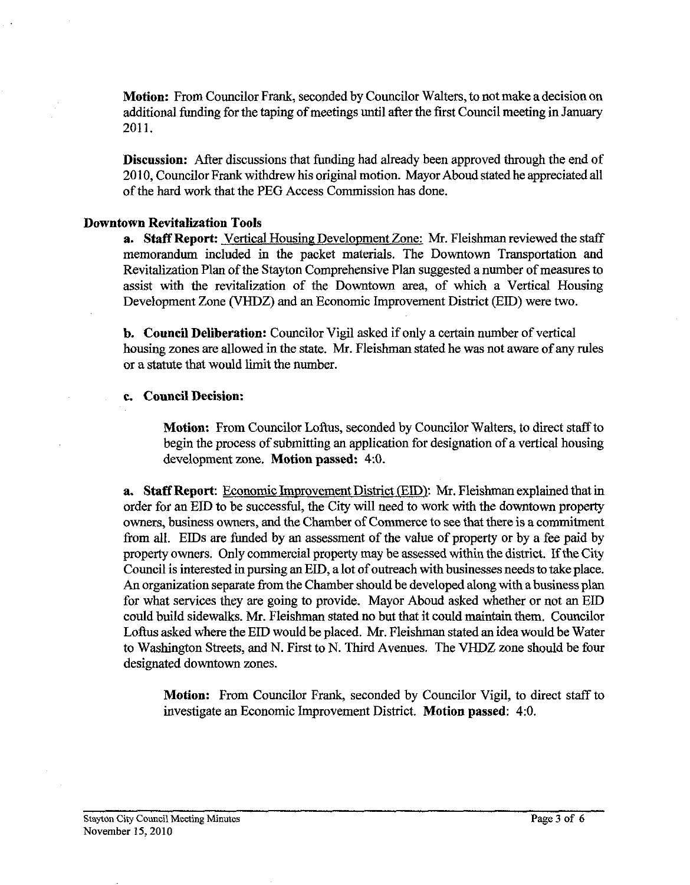**Motion:** From Councilor Frank, seconded by Councilor Walters, to not make a decision on additional funding for the taping of meetings until after the first Council meeting in January 2011.

**Discussion:** After discussions that funding had already been approved through the end of 2010, Councilor Frank withdrew his original motion. Mayor Aboud stated he appreciated all of the hard work that the PEG Access Commission has done.

#### **Downtown Revitalization Tools**

**a. Staff Report:** Vertical Housing Development Zone: Mr. Fleishman reviewed the staff memorandum included in the packet materials. The Downtown Transportation and Revitalization Plan of the Stayton Comprehensive Plan suggested a number of measures to assist with the revitalization of the Downtown area, of which a Vertical Housing Development Zone (VHDZ) and an Economic Improvement District (ED) were two.

**b. Council Deliberation:** Councilor Vigil asked if only a certain number of vertical housing zones are allowed in the state. Mr. Fleishman stated he was not aware of any rules or a statute that would limit the number.

#### **c. Council Decision:**

**Motion:** From Councilor Loftus, seconded by Councilor Walters, to direct staff to begin the process of submitting an application for designation of a vertical housing development zone. **Motion passed:** 4:O.

**a.** Staff Report: Economic Improvement District (EID): Mr. Fleishman explained that in order for an EID to be successful, the City will need to work with the downtown property owners, business owners, and the Chamber of Commerce to see that there is a commitment from all. EIDs are funded by an assessment of the value of property or by a fee paid by property owners. Only commercial property may be assessed within the district. If the City Council is interested in pursing an ED, a lot of outreach with businesses needs to take place. An organization separate from the Chamber should be developed along with a business plan for what services they are going to provide. Mayor Aboud asked whether or not an EID could build sidewalks. Mr. Fleishman stated no but that it could maintain them. Councilor Loftus asked where the EID would be placed. Mr. Fleishman stated an idea would be Water to Washington Streets, and N. First to N. Third Avenues. The VHDZ zone should be four designated downtown zones.

**Motion:** From Councilor Frank, seconded by Councilor Vigil, to direct staff to investigate an Economic Improvement District. **Motion passed:** 4:O.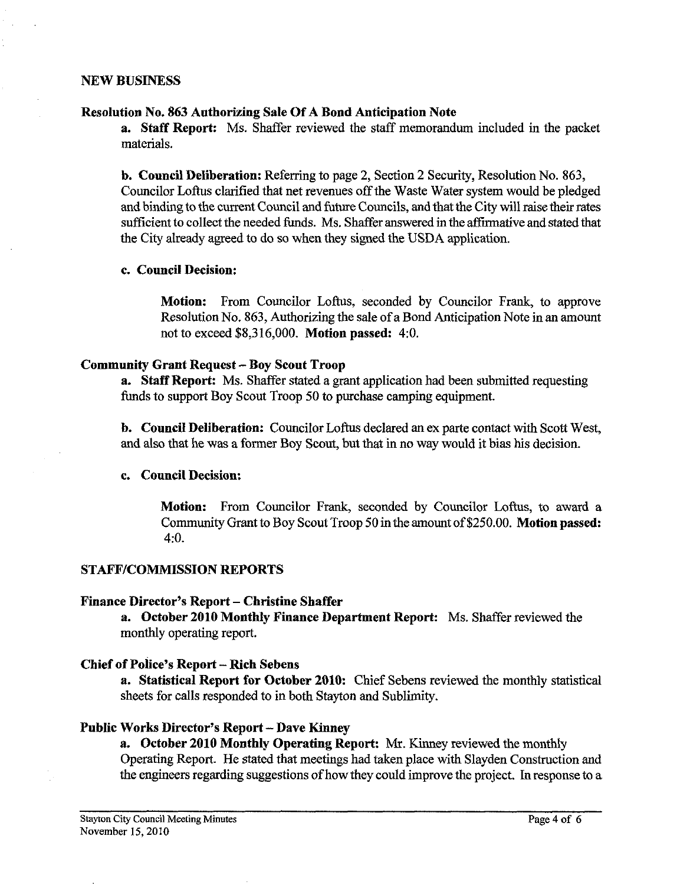#### **NEW BUSINESS**

#### **Resolution No. 863 Authorizing Sale Of A Bond Anticipation Note**

**a. Staff Report:** Ms. Shaffer reviewed the staff memorandum included in the packet materials.

**b. Council Deliberation:** Referring to page 2, Section 2 Security, Resolution No. 863, Councilor Loftus clarified that net revenues off the Waste Water system would be pledged and binding to the current Council and future Councils, and that the City will raise their rates sufficient to collect the needed funds. Ms. Shaffer answered in the affirmative and stated that the City already agreed to do so when they signed the USDA application.

## **c. Council Decision:**

**Motion:** From Councilor Loftus, seconded by Councilor Frank, to approve Resolution No. 863, Authorizing the sale of a Bond Anticipation Note in an amount not to exceed \$8,316,000. **Motion passed:** 4:O.

## **Community Grant Request** - **Boy Scout Troop**

**a. Staff Report:** Ms. Shaffer stated a grant application had been submitted requesting funds to support Boy Scout Troop 50 to purchase camping equipment.

**b. Council Deliberation:** Councilor Loftus declared an ex parte contact with Scott West, and also that he was a former Boy Scout, but that in no way would it bias his decision.

## **c. Council Decision:**

**Motion:** From Councilor Frank, seconded by Councilor Loftus, to award a Community Grant to Boy Scout Troop 50 in the amount of \$250.00. **Motion passed:**  4:O.

## **STAFFICOMMISSION REPORTS**

#### **Finance Director's Report – Christine Shaffer**

**a. October 2010 Monthly Fiance Department Report:** Ms. Shaffer reviewed the monthly operating report.

## **Chief of Police's Report** - **Rich Sebens**

**a. Statistical Report for October 2010:** Chief Sebens reviewed the monthly statistical sheets for calls responded to in both Stayton and Sublimity.

## **Public Works Director's Report** - **Dave Kinncy**

**a. October 2010 Monthly Operating Report:** Mr. Kinney reviewed the monthly Operating Report. He stated that meetings had taken place with Slayden Construction and the engineers regarding suggestions of how they could improve the project. In response to a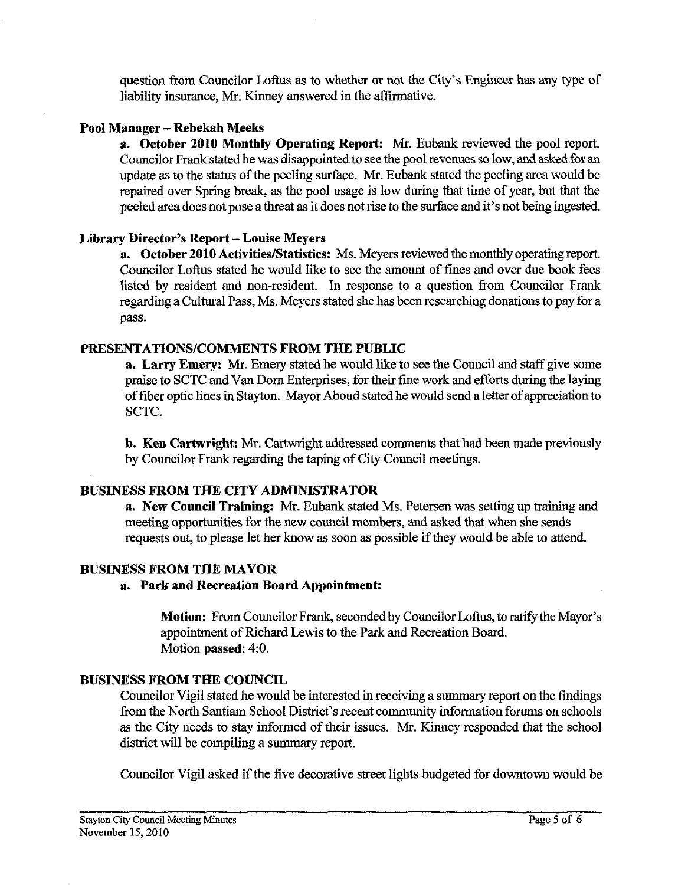question from Councilor Loftus as to whether or not the City's Engineer has any type of liability insurance, Mr. Kinney answered in the affirmative.

# **Pool Manager** - **Rebekah Meeks**

**a. October 2010 Monthly Operating Report:** Mr. Eubank reviewed the pool report. Councilor Frank stated he was disappointed to see the pool revenues so low, and asked for an update as to the status of the peeling surface. Mr. Eubank stated the peeling area would be repaired over Spring break, as the pool usage is low during that time of year, but that the peeled area does not pose a threat as it does not rise to the surface and it's not being ingested.

# **Library Director's Report** - **Louise Meyers**

**a.** October 2010 Activities/Statistics: Ms. Meyers reviewed the monthly operating report. Councilor Loftus stated he would like to see the amount of fines and over due book fees listed by resident and non-resident. In response to a question from Councilor Frank regarding a Cultural Pass, Ms. Meyers stated she has been researching donations to pay for a pass.

# **PRESENTATIONSICOMMENTS FROM THE PUBLIC**

**a. Larry Emery:** Mr. Emery stated he would like to see the Council and staff give some praise to SCTC and Van Dom Enterprises, for their fine work and efforts during the laying of fiber optic lines in Stayton. Mayor Aboud stated he would send a letter of appreciation to SCTC.

**b. Ken Cartwright:** Mr. Cartwright addressed comments that had been made previously by Councilor Frank regarding the taping of City Council meetings.

# **BUSINESS FROM THE CITY ADMINISTRATOR**

**a. New Council Training: Mr.** Eubank stated Ms. Petersen was setting up training and meeting opportunities for the new council members, and asked that when she sends requests out, to please let her know as soon as possible if they would be able to attend.

# **BUSINESS FROM THE MAYOR**

# **a. Park and Recreation Board Appointment:**

**Motion:** From Councilor Frank, seconded by Councilor Loftus, to ratify the Mayor's appointment of Richard Lewis to the Park and Recreation Board. Motion **passed:** 4:O.

# **BUSINESS FROM THE COUNCIL**

Councilor Vigil stated he would be interested in receiving a summary report on the findings from the North Santiam School District's recent community information forums on schools as the City needs to stay informed of their issues. Mr. Kinney responded that the school district will be compiling a summary report.

Councilor Vigil asked if the five decorative street lights budgeted for downtown would be